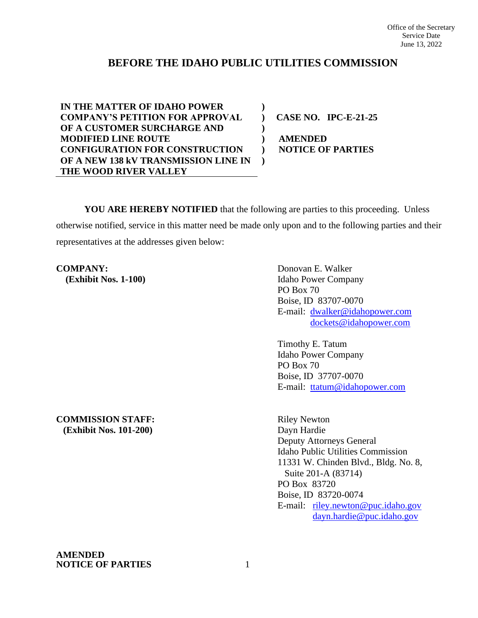# **BEFORE THE IDAHO PUBLIC UTILITIES COMMISSION**

**) ) ) ) ) )**

**IN THE MATTER OF IDAHO POWER COMPANY'S PETITION FOR APPROVAL OF A CUSTOMER SURCHARGE AND MODIFIED LINE ROUTE CONFIGURATION FOR CONSTRUCTION OF A NEW 138 kV TRANSMISSION LINE IN THE WOOD RIVER VALLEY**

**CASE NO. IPC-E-21-25**

**AMENDED NOTICE OF PARTIES**

**YOU ARE HEREBY NOTIFIED** that the following are parties to this proceeding. Unless otherwise notified, service in this matter need be made only upon and to the following parties and their representatives at the addresses given below:

**COMPANY:** Donovan E. Walker

 **(Exhibit Nos. 1-100)** Idaho Power Company PO Box 70 Boise, ID 83707-0070 E-mail: [dwalker@idahopower.com](mailto:dwalker@idahopower.com) [dockets@idahopower.com](mailto:dockets@idahopower.com)

> Timothy E. Tatum Idaho Power Company PO Box 70 Boise, ID 37707-0070 E-mail: [ttatum@idahopower.com](mailto:ttatum@idahopower.com)

**COMMISSION STAFF:** Riley Newton  **(Exhibit Nos. 101-200)** Dayn Hardie

Deputy Attorneys General Idaho Public Utilities Commission 11331 W. Chinden Blvd., Bldg. No. 8, Suite 201-A (83714) PO Box 83720 Boise, ID 83720-0074 E-mail: [riley.newton@puc.idaho.gov](mailto:riley.newton@puc.idaho.gov) [dayn.hardie@puc.idaho.gov](mailto:dayn.hardie@puc.idaho.gov)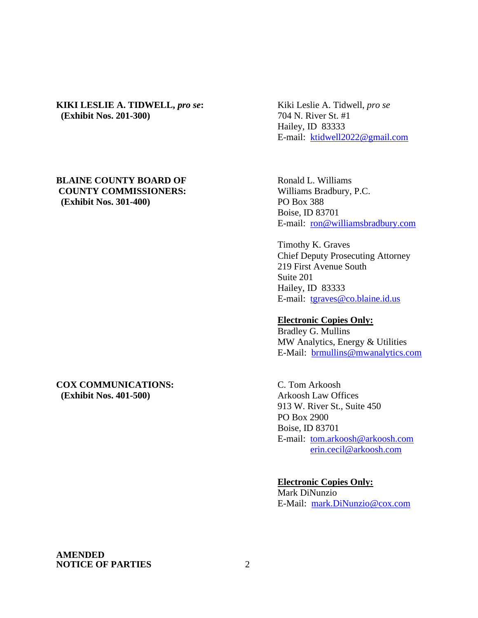## **KIKI LESLIE A. TIDWELL,** *pro se***:** Kiki Leslie A. Tidwell, *pro se* **(Exhibit Nos. 201-300)** 704 N. River St. #1

## **BLAINE COUNTY BOARD OF Ronald L. Williams COUNTY COMMISSIONERS:** Williams Bradbury, P.C. **(Exhibit Nos. 301-400)** PO Box 388

## **COX COMMUNICATIONS:** C. Tom Arkoosh **(Exhibit Nos. 401-500)** Arkoosh Law Offices

Hailey, ID 83333 E-mail: [ktidwell2022@gmail.com](mailto:ktidwell2022@gmail.com)

Boise, ID 83701 E-mail: [ron@williamsbradbury.com](mailto:ron@williamsbradbury.com)

Timothy K. Graves Chief Deputy Prosecuting Attorney 219 First Avenue South Suite 201 Hailey, ID 83333 E-mail: [tgraves@co.blaine.id.us](mailto:tgraves@co.blaine.id.us)

#### **Electronic Copies Only:**

Bradley G. Mullins MW Analytics, Energy & Utilities E-Mail: [brmullins@mwanalytics.com](mailto:brmullins@mwanalytics.com)

913 W. River St., Suite 450 PO Box 2900 Boise, ID 83701 E-mail: [tom.arkoosh@arkoosh.com](mailto:tom.arkoosh@arkoosh.com) [erin.cecil@arkoosh.com](mailto:erin.cecil@arkoosh.com)

**Electronic Copies Only:** Mark DiNunzio E-Mail: [mark.DiNunzio@cox.com](mailto:mark.DiNunzio@cox.com)

#### **AMENDED NOTICE OF PARTIES** 2